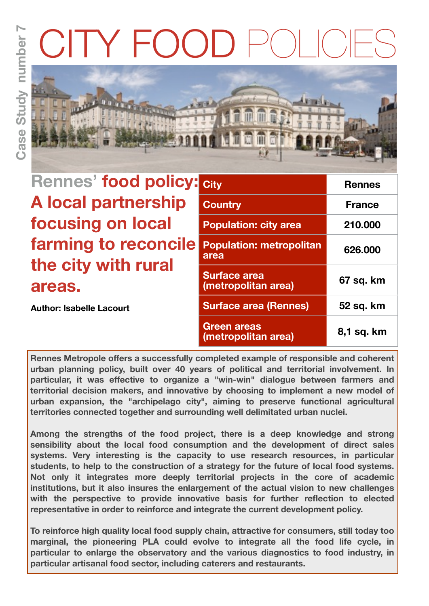# $F()()$



| <b>Rennes' food policy:</b> |
|-----------------------------|
| <b>A local partnership</b>  |
| focusing on local           |
| farming to reconcile        |
| the city with rural         |
| areas.                      |

**Author: Isabelle Lacourt**

| <b>City</b>                                | <b>Rennes</b> |
|--------------------------------------------|---------------|
| <b>Country</b>                             | <b>France</b> |
| <b>Population: city area</b>               | 210.000       |
| <b>Population: metropolitan</b><br>area    | 626.000       |
| <b>Surface area</b><br>(metropolitan area) | 67 sq. km     |
| <b>Surface area (Rennes)</b>               | 52 sq. km     |
| <b>Green areas</b><br>(metropolitan area)  | 8,1 sq. km    |

**Rennes Metropole offers a successfully completed example of responsible and coherent urban planning policy, built over 40 years of political and territorial involvement. In particular, it was effective to organize a "win-win" dialogue between farmers and territorial decision makers, and innovative by choosing to implement a new model of urban expansion, the "archipelago city", aiming to preserve functional agricultural territories connected together and surrounding well delimitated urban nuclei.** 

**Among the strengths of the food project, there is a deep knowledge and strong sensibility about the local food consumption and the development of direct sales systems. Very interesting is the capacity to use research resources, in particular students, to help to the construction of a strategy for the future of local food systems. Not only it integrates more deeply territorial projects in the core of academic institutions, but it also insures the enlargement of the actual vision to new challenges with the perspective to provide innovative basis for further reflection to elected representative in order to reinforce and integrate the current development policy.** 

**To reinforce high quality local food supply chain, attractive for consumers, still today too marginal, the pioneering PLA could evolve to integrate all the food life cycle, in particular to enlarge the observatory and the various diagnostics to food industry, in particular artisanal food sector, including caterers and restaurants.**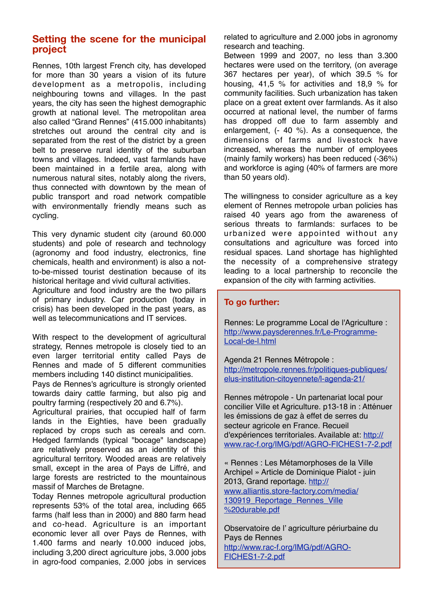## **Setting the scene for the municipal project**

Rennes, 10th largest French city, has developed for more than 30 years a vision of its future development as a metropolis, including neighbouring towns and villages. In the past years, the city has seen the highest demographic growth at national level. The metropolitan area also called "Grand Rennes" (415.000 inhabitants) stretches out around the central city and is separated from the rest of the district by a green belt to preserve rural identity of the suburban towns and villages. Indeed, vast farmlands have been maintained in a fertile area, along with numerous natural sites, notably along the rivers, thus connected with downtown by the mean of public transport and road network compatible with environmentally friendly means such as cycling.

This very dynamic student city (around 60.000 students) and pole of research and technology (agronomy and food industry, electronics, fine chemicals, health and environment) is also a notto-be-missed tourist destination because of its historical heritage and vivid cultural activities.

Agriculture and food industry are the two pillars of primary industry. Car production (today in crisis) has been developed in the past years, as well as telecommunications and IT services.

With respect to the development of agricultural strategy, Rennes metropole is closely tied to an even larger territorial entity called Pays de Rennes and made of 5 different communities members including 140 distinct municipalities.

Pays de Rennes's agriculture is strongly oriented towards dairy cattle farming, but also pig and poultry farming (respectively 20 and 6.7%).

Agricultural prairies, that occupied half of farm lands in the Eighties, have been gradually replaced by crops such as cereals and corn. Hedged farmlands (typical "bocage" landscape) are relatively preserved as an identity of this agricultural territory. Wooded areas are relatively small, except in the area of Pays de Liffré, and large forests are restricted to the mountainous massif of Marches de Bretagne.

Today Rennes metropole agricultural production represents 53% of the total area, including 665 farms (half less than in 2000) and 880 farm head and co-head. Agriculture is an important economic lever all over Pays de Rennes, with 1.400 farms and nearly 10.000 induced jobs, including 3,200 direct agriculture jobs, 3.000 jobs in agro-food companies, 2.000 jobs in services

related to agriculture and 2.000 jobs in agronomy research and teaching.

Between 1999 and 2007, no less than 3.300 hectares were used on the territory, (on average 367 hectares per year), of which 39.5 % for housing, 41,5 % for activities and 18,9 % for community facilities. Such urbanization has taken place on a great extent over farmlands. As it also occurred at national level, the number of farms has dropped off due to farm assembly and enlargement, (- 40 %). As a consequence, the dimensions of farms and livestock have increased, whereas the number of employees (mainly family workers) has been reduced (-36%) and workforce is aging (40% of farmers are more than 50 years old).

The willingness to consider agriculture as a key element of Rennes metropole urban policies has raised 40 years ago from the awareness of serious threats to farmlands: surfaces to be urbanized were appointed without any consultations and agriculture was forced into residual spaces. Land shortage has highlighted the necessity of a comprehensive strategy leading to a local partnership to reconcile the expansion of the city with farming activities.

#### **To go further:**

Rennes: Le programme Local de l'Agriculture : [http://www.paysderennes.fr/Le-Programme-](http://www.paysderennes.fr/Le-Programme-Local-de-l.html)[Local-de-l.html](http://www.paysderennes.fr/Le-Programme-Local-de-l.html)

Agenda 21 Rennes Métropole : [http://metropole.rennes.fr/politiques-publiques/](http://metropole.rennes.fr/politiques-publiques/elus-institution-citoyennete/l-agenda-21/) [elus-institution-citoyennete/l-agenda-21/](http://metropole.rennes.fr/politiques-publiques/elus-institution-citoyennete/l-agenda-21/)

Rennes métropole - Un partenariat local pour concilier Ville et Agriculture. p13-18 in : Atténuer les émissions de gaz à effet de serres du secteur agricole en France. Recueil d'expériences territoriales. Available at: [http://](http://www.rac-f.org/IMG/pdf/AGRO-FICHES1-7-2.pdf) [www.rac-f.org/IMG/pdf/AGRO-FICHES1-7-2.pdf](http://www.rac-f.org/IMG/pdf/AGRO-FICHES1-7-2.pdf)

« Rennes : Les Métamorphoses de la Ville Archipel » Article de Dominique Pialot - juin 2013, Grand reportage. [http://](http://www.alliantis.store-factory.com/media/130919_Reportage_Rennes_Ville%20durable.pdf) [www.alliantis.store-factory.com/media/](http://www.alliantis.store-factory.com/media/130919_Reportage_Rennes_Ville%20durable.pdf) 130919 Reportage Rennes Ville [%20durable.pdf](http://www.alliantis.store-factory.com/media/130919_Reportage_Rennes_Ville%20durable.pdf)

Observatoire de l' agriculture périurbaine du Pays de Rennes [http://www.rac-f.org/IMG/pdf/AGRO-](http://www.rac-f.org/IMG/pdf/AGRO-FICHES1-7-2.pdf)[FICHES1-7-2.pdf](http://www.rac-f.org/IMG/pdf/AGRO-FICHES1-7-2.pdf)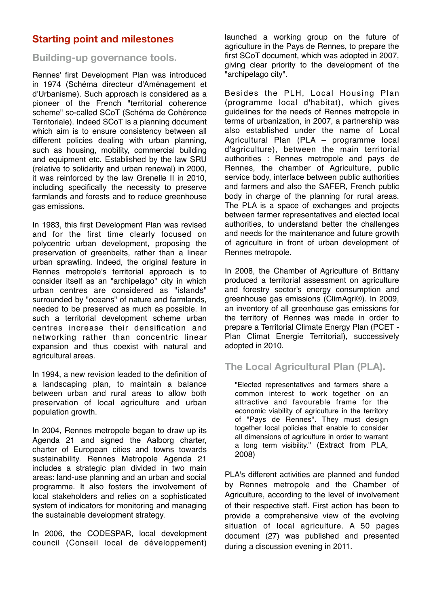# **Starting point and milestones**

## **Building-up governance tools.**

Rennes' first Development Plan was introduced in 1974 (Schéma directeur d'Aménagement et d'Urbanisme). Such approach is considered as a pioneer of the French "territorial coherence scheme" so-called SCoT (Schéma de Cohérence Territoriale). Indeed SCoT is a planning document which aim is to ensure consistency between all different policies dealing with urban planning, such as housing, mobility, commercial building and equipment etc. Established by the law SRU (relative to solidarity and urban renewal) in 2000, it was reinforced by the law Grenelle II in 2010, including specifically the necessity to preserve farmlands and forests and to reduce greenhouse gas emissions.

In 1983, this first Development Plan was revised and for the first time clearly focused on polycentric urban development, proposing the preservation of greenbelts, rather than a linear urban sprawling. Indeed, the original feature in Rennes metropole's territorial approach is to consider itself as an "archipelago" city in which urban centres are considered as "islands" surrounded by "oceans" of nature and farmlands, needed to be preserved as much as possible. In such a territorial development scheme urban centres increase their densification and networking rather than concentric linear expansion and thus coexist with natural and agricultural areas.

In 1994, a new revision leaded to the definition of a landscaping plan, to maintain a balance between urban and rural areas to allow both preservation of local agriculture and urban population growth.

In 2004, Rennes metropole began to draw up its Agenda 21 and signed the Aalborg charter, charter of European cities and towns towards sustainability. Rennes Metropole Agenda 21 includes a strategic plan divided in two main areas: land-use planning and an urban and social programme. It also fosters the involvement of local stakeholders and relies on a sophisticated system of indicators for monitoring and managing the sustainable development strategy.

In 2006, the CODESPAR, local development council (Conseil local de développement)

launched a working group on the future of agriculture in the Pays de Rennes, to prepare the first SCoT document, which was adopted in 2007, giving clear priority to the development of the "archipelago city".

Besides the PLH, Local Housing Plan (programme local d'habitat), which gives guidelines for the needs of Rennes metropole in terms of urbanization, in 2007, a partnership was also established under the name of Local Agricultural Plan (PLA – programme local d'agriculture), between the main territorial authorities : Rennes metropole and pays de Rennes, the chamber of Agriculture, public service body, interface between public authorities and farmers and also the SAFER, French public body in charge of the planning for rural areas. The PLA is a space of exchanges and projects between farmer representatives and elected local authorities, to understand better the challenges and needs for the maintenance and future growth of agriculture in front of urban development of Rennes metropole.

In 2008, the Chamber of Agriculture of Brittany produced a territorial assessment on agriculture and forestry sector's energy consumption and greenhouse gas emissions (ClimAgri®). In 2009, an inventory of all greenhouse gas emissions for the territory of Rennes was made in order to prepare a Territorial Climate Energy Plan (PCET - Plan Climat Energie Territorial), successively adopted in 2010.

# **The Local Agricultural Plan (PLA).**

"Elected representatives and farmers share a common interest to work together on an attractive and favourable frame for the economic viability of agriculture in the territory of "Pays de Rennes". They must design together local policies that enable to consider all dimensions of agriculture in order to warrant a long term visibility." (Extract from PLA, 2008)

PLA's different activities are planned and funded by Rennes metropole and the Chamber of Agriculture, according to the level of involvement of their respective staff. First action has been to provide a comprehensive view of the evolving situation of local agriculture. A 50 pages document (27) was published and presented during a discussion evening in 2011.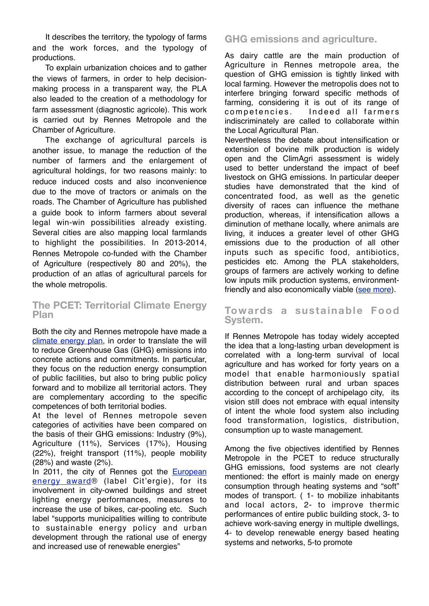It describes the territory, the typology of farms and the work forces, and the typology of productions.

To explain urbanization choices and to gather the views of farmers, in order to help decisionmaking process in a transparent way, the PLA also leaded to the creation of a methodology for farm assessment (diagnostic agricole). This work is carried out by Rennes Metropole and the Chamber of Agriculture.

The exchange of agricultural parcels is another issue, to manage the reduction of the number of farmers and the enlargement of agricultural holdings, for two reasons mainly: to reduce induced costs and also inconvenience due to the move of tractors or animals on the roads. The Chamber of Agriculture has published a guide book to inform farmers about several legal win-win possibilities already existing. Several cities are also mapping local farmlands to highlight the possibilities. In 2013-2014, Rennes Metropole co-funded with the Chamber of Agriculture (respectively 80 and 20%), the production of an atlas of agricultural parcels for the whole metropolis.

## **The PCET: Territorial Climate Energy Plan**

Both the city and Rennes metropole have made a [climate energy plan,](http://metropole.rennes.fr/politiques-publiques/environnement-economie-recherche/l-environnement/le-plan-climat/) in order to translate the will to reduce Greenhouse Gas (GHG) emissions into concrete actions and commitments. In particular, they focus on the reduction energy consumption of public facilities, but also to bring public policy forward and to mobilize all territorial actors. They are complementary according to the specific competences of both territorial bodies.

At the level of Rennes metropole seven categories of activities have been compared on the basis of their GHG emissions: Industry (9%), Agriculture (11%), Services (17%), Housing (22%), freight transport (11%), people mobility (28%) and waste (2%).

In 2011, the city of Rennes got the **European** [energy award®](http://www.european-energy-award.org/home/) (label Cit'ergie), for its involvement in city-owned buildings and street lighting energy performances, measures to increase the use of bikes, car-pooling etc. Such label "supports municipalities willing to contribute to sustainable energy policy and urban development through the rational use of energy and increased use of renewable energies"

# **GHG emissions and agriculture.**

As dairy cattle are the main production of Agriculture in Rennes metropole area, the question of GHG emission is tightly linked with local farming. However the metropolis does not to interfere bringing forward specific methods of farming, considering it is out of its range of competencies. Indeed all farmers indiscriminately are called to collaborate within the Local Agricultural Plan.

Nevertheless the debate about intensification or extension of bovine milk production is widely open and the ClimAgri assessment is widely used to better understand the impact of beef livestock on GHG emissions. In particular deeper studies have demonstrated that the kind of concentrated food, as well as the genetic diversity of races can influence the methane production, whereas, if intensification allows a diminution of methane locally, where animals are living, it induces a greater level of other GHG emissions due to the production of all other inputs such as specific food, antibiotics, pesticides etc. Among the PLA stakeholders, groups of farmers are actively working to define low inputs milk production systems, environment-friendly and also economically viable [\(see more\)](http://www.agriculture-durable.org/wp-content/uploads/2011/04/essentiels-GES.pdf).

#### **Towards a sustainable Food System.**

If Rennes Metropole has today widely accepted the idea that a long-lasting urban development is correlated with a long-term survival of local agriculture and has worked for forty years on a model that enable harmoniously spatial distribution between rural and urban spaces according to the concept of archipelago city, its vision still does not embrace with equal intensity of intent the whole food system also including food transformation, logistics, distribution, consumption up to waste management.

Among the five objectives identified by Rennes Metropole in the PCET to reduce structurally GHG emissions, food systems are not clearly mentioned: the effort is mainly made on energy consumption through heating systems and "soft" modes of transport. ( 1- to mobilize inhabitants and local actors, 2- to improve thermic performances of entire public building stock, 3- to achieve work-saving energy in multiple dwellings, 4- to develop renewable energy based heating systems and networks, 5-to promote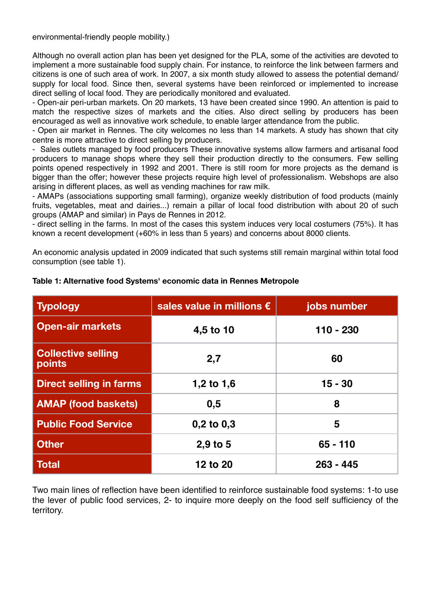environmental-friendly people mobility.)

Although no overall action plan has been yet designed for the PLA, some of the activities are devoted to implement a more sustainable food supply chain. For instance, to reinforce the link between farmers and citizens is one of such area of work. In 2007, a six month study allowed to assess the potential demand/ supply for local food. Since then, several systems have been reinforced or implemented to increase direct selling of local food. They are periodically monitored and evaluated.

- Open-air peri-urban markets. On 20 markets, 13 have been created since 1990. An attention is paid to match the respective sizes of markets and the cities. Also direct selling by producers has been encouraged as well as innovative work schedule, to enable larger attendance from the public.

- Open air market in Rennes. The city welcomes no less than 14 markets. A study has shown that city centre is more attractive to direct selling by producers.

- Sales outlets managed by food producers These innovative systems allow farmers and artisanal food producers to manage shops where they sell their production directly to the consumers. Few selling points opened respectively in 1992 and 2001. There is still room for more projects as the demand is bigger than the offer; however these projects require high level of professionalism. Webshops are also arising in different places, as well as vending machines for raw milk.

- AMAPs (associations supporting small farming), organize weekly distribution of food products (mainly fruits, vegetables, meat and dairies...) remain a pillar of local food distribution with about 20 of such groups (AMAP and similar) in Pays de Rennes in 2012.

- direct selling in the farms. In most of the cases this system induces very local costumers (75%). It has known a recent development (+60% in less than 5 years) and concerns about 8000 clients.

An economic analysis updated in 2009 indicated that such systems still remain marginal within total food consumption (see table 1).

| <b>Typology</b>                            | sales value in millions $\epsilon$ | jobs number |
|--------------------------------------------|------------------------------------|-------------|
| <b>Open-air markets</b>                    | 4,5 to 10                          | 110 - 230   |
| <b>Collective selling</b><br><b>points</b> | 2,7                                | 60          |
| <b>Direct selling in farms</b>             | 1,2 to 1,6                         | $15 - 30$   |
| <b>AMAP (food baskets)</b>                 | 0,5                                | 8           |
| <b>Public Food Service</b>                 | $0,2$ to $0,3$                     | 5           |
| <b>Other</b>                               | $2,9$ to 5                         | $65 - 110$  |
| <b>Total</b>                               | 12 to 20                           | $263 - 445$ |

#### **Table 1: Alternative food Systems' economic data in Rennes Metropole**

Two main lines of reflection have been identified to reinforce sustainable food systems: 1-to use the lever of public food services, 2- to inquire more deeply on the food self sufficiency of the territory.